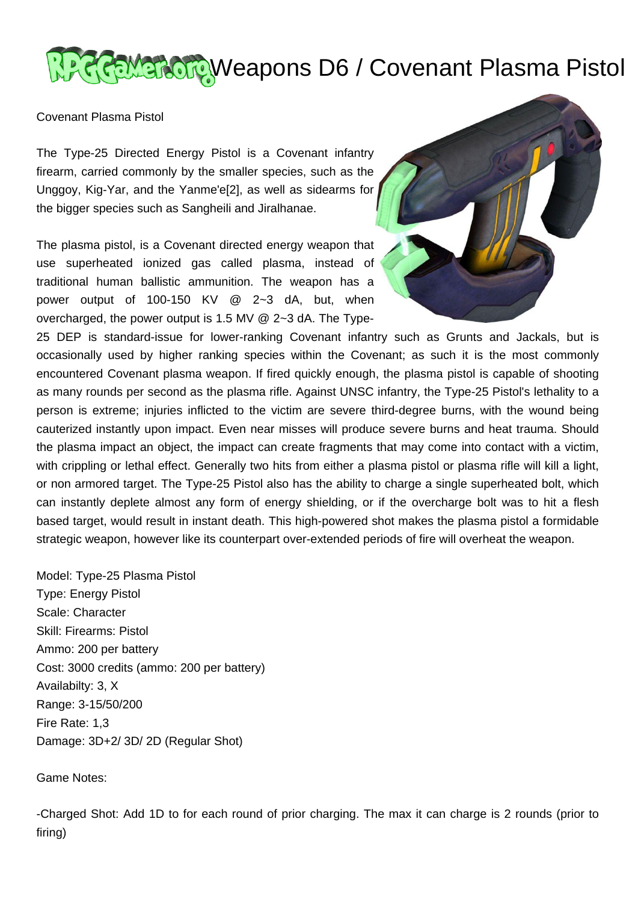## **REMERCIP Weapons D6 / Covenant Plasma Pistol**

Covenant Plasma Pistol

The Type-25 Directed Energy Pistol is a Covenant infantry firearm, carried commonly by the smaller species, such as the Unggoy, Kig-Yar, and the Yanme'e[2], as well as sidearms for the bigger species such as Sangheili and Jiralhanae.

The plasma pistol, is a Covenant directed energy weapon that use superheated ionized gas called plasma, instead of traditional human ballistic ammunition. The weapon has a power output of 100-150 KV @ 2~3 dA, but, when overcharged, the power output is 1.5 MV @ 2~3 dA. The Type-



25 DEP is standard-issue for lower-ranking Covenant infantry such as Grunts and Jackals, but is occasionally used by higher ranking species within the Covenant; as such it is the most commonly encountered Covenant plasma weapon. If fired quickly enough, the plasma pistol is capable of shooting as many rounds per second as the plasma rifle. Against UNSC infantry, the Type-25 Pistol's lethality to a person is extreme; injuries inflicted to the victim are severe third-degree burns, with the wound being cauterized instantly upon impact. Even near misses will produce severe burns and heat trauma. Should the plasma impact an object, the impact can create fragments that may come into contact with a victim, with crippling or lethal effect. Generally two hits from either a plasma pistol or plasma rifle will kill a light, or non armored target. The Type-25 Pistol also has the ability to charge a single superheated bolt, which can instantly deplete almost any form of energy shielding, or if the overcharge bolt was to hit a flesh based target, would result in instant death. This high-powered shot makes the plasma pistol a formidable strategic weapon, however like its counterpart over-extended periods of fire will overheat the weapon.

Model: Type-25 Plasma Pistol Type: Energy Pistol Scale: Character Skill: Firearms: Pistol Ammo: 200 per battery Cost: 3000 credits (ammo: 200 per battery) Availabilty: 3, X Range: 3-15/50/200 Fire Rate: 1,3 Damage: 3D+2/ 3D/ 2D (Regular Shot)

Game Notes:

-Charged Shot: Add 1D to for each round of prior charging. The max it can charge is 2 rounds (prior to firing)